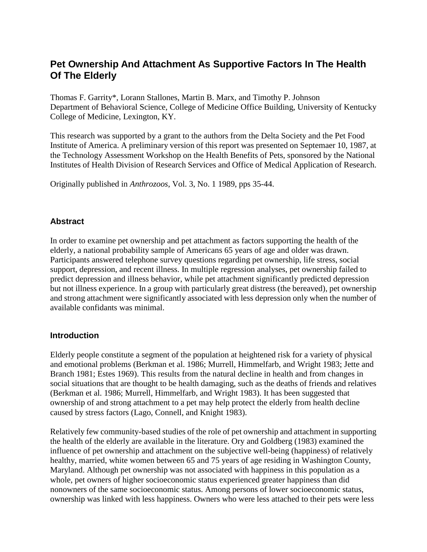# **Pet Ownership And Attachment As Supportive Factors In The Health Of The Elderly**

Thomas F. Garrity\*, Lorann Stallones, Martin B. Marx, and Timothy P. Johnson Department of Behavioral Science, College of Medicine Office Building, University of Kentucky College of Medicine, Lexington, KY.

This research was supported by a grant to the authors from the Delta Society and the Pet Food Institute of America. A preliminary version of this report was presented on Septemaer 10, 1987, at the Technology Assessment Workshop on the Health Benefits of Pets, sponsored by the National Institutes of Health Division of Research Services and Office of Medical Application of Research.

Originally published in *Anthrozoos*, Vol. 3, No. 1 1989, pps 35-44.

# **Abstract**

In order to examine pet ownership and pet attachment as factors supporting the health of the elderly, a national probability sample of Americans 65 years of age and older was drawn. Participants answered telephone survey questions regarding pet ownership, life stress, social support, depression, and recent illness. In multiple regression analyses, pet ownership failed to predict depression and illness behavior, while pet attachment significantly predicted depression but not illness experience. In a group with particularly great distress (the bereaved), pet ownership and strong attachment were significantly associated with less depression only when the number of available confidants was minimal.

### **Introduction**

Elderly people constitute a segment of the population at heightened risk for a variety of physical and emotional problems (Berkman et al. 1986; Murrell, Himmelfarb, and Wright 1983; Jette and Branch 1981; Estes 1969). This results from the natural decline in health and from changes in social situations that are thought to be health damaging, such as the deaths of friends and relatives (Berkman et al. 1986; Murrell, Himmelfarb, and Wright 1983). It has been suggested that ownership of and strong attachment to a pet may help protect the elderly from health decline caused by stress factors (Lago, Connell, and Knight 1983).

Relatively few community-based studies of the role of pet ownership and attachment in supporting the health of the elderly are available in the literature. Ory and Goldberg (1983) examined the influence of pet ownership and attachment on the subjective well-being (happiness) of relatively healthy, married, white women between 65 and 75 years of age residing in Washington County, Maryland. Although pet ownership was not associated with happiness in this population as a whole, pet owners of higher socioeconomic status experienced greater happiness than did nonowners of the same socioeconomic status. Among persons of lower socioeconomic status, ownership was linked with less happiness. Owners who were less attached to their pets were less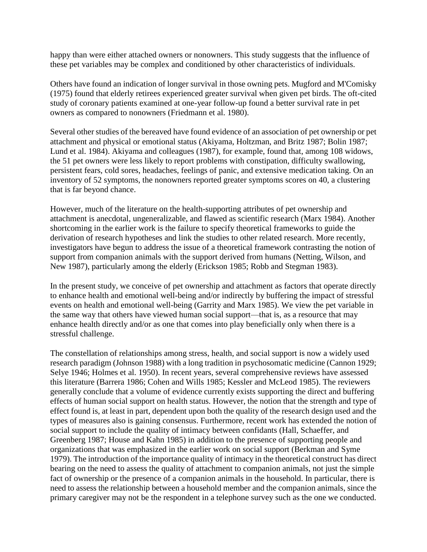happy than were either attached owners or nonowners. This study suggests that the influence of these pet variables may be complex and conditioned by other characteristics of individuals.

Others have found an indication of longer survival in those owning pets. Mugford and M'Comisky (1975) found that elderly retirees experienced greater survival when given pet birds. The oft-cited study of coronary patients examined at one-year follow-up found a better survival rate in pet owners as compared to nonowners (Friedmann et al. 1980).

Several other studies of the bereaved have found evidence of an association of pet ownership or pet attachment and physical or emotional status (Akiyama, Holtzman, and Britz 1987; Bolin 1987; Lund et al. 1984). Akiyama and colleagues (1987), for example, found that, among 108 widows, the 51 pet owners were less likely to report problems with constipation, difficulty swallowing, persistent fears, cold sores, headaches, feelings of panic, and extensive medication taking. On an inventory of 52 symptoms, the nonowners reported greater symptoms scores on 40, a clustering that is far beyond chance.

However, much of the literature on the health-supporting attributes of pet ownership and attachment is anecdotal, ungeneralizable, and flawed as scientific research (Marx 1984). Another shortcoming in the earlier work is the failure to specify theoretical frameworks to guide the derivation of research hypotheses and link the studies to other related research. More recently, investigators have begun to address the issue of a theoretical framework contrasting the notion of support from companion animals with the support derived from humans (Netting, Wilson, and New 1987), particularly among the elderly (Erickson 1985; Robb and Stegman 1983).

In the present study, we conceive of pet ownership and attachment as factors that operate directly to enhance health and emotional well-being and/or indirectly by buffering the impact of stressful events on health and emotional well-being (Garrity and Marx 1985). We view the pet variable in the same way that others have viewed human social support—that is, as a resource that may enhance health directly and/or as one that comes into play beneficially only when there is a stressful challenge.

The constellation of relationships among stress, health, and social support is now a widely used research paradigm (Johnson 1988) with a long tradition in psychosomatic medicine (Cannon 1929; Selye 1946; Holmes et al. 1950). In recent years, several comprehensive reviews have assessed this literature (Barrera 1986; Cohen and Wills 1985; Kessler and McLeod 1985). The reviewers generally conclude that a volume of evidence currently exists supporting the direct and buffering effects of human social support on health status. However, the notion that the strength and type of effect found is, at least in part, dependent upon both the quality of the research design used and the types of measures also is gaining consensus. Furthermore, recent work has extended the notion of social support to include the quality of intimacy between confidants (Hall, Schaeffer, and Greenberg 1987; House and Kahn 1985) in addition to the presence of supporting people and organizations that was emphasized in the earlier work on social support (Berkman and Syme 1979). The introduction of the importance quality of intimacy in the theoretical construct has direct bearing on the need to assess the quality of attachment to companion animals, not just the simple fact of ownership or the presence of a companion animals in the household. In particular, there is need to assess the relationship between a household member and the companion animals, since the primary caregiver may not be the respondent in a telephone survey such as the one we conducted.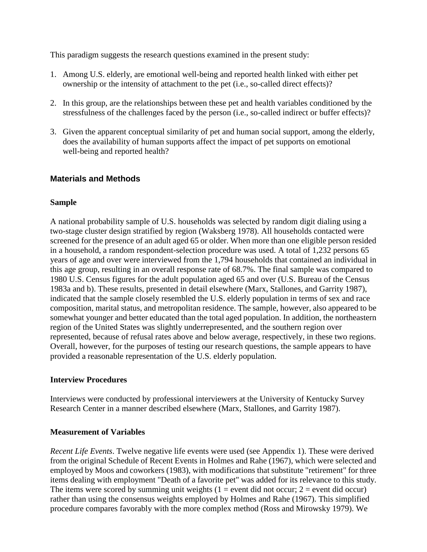This paradigm suggests the research questions examined in the present study:

- 1. Among U.S. elderly, are emotional well-being and reported health linked with either pet ownership or the intensity of attachment to the pet (i.e., so-called direct effects)?
- 2. In this group, are the relationships between these pet and health variables conditioned by the stressfulness of the challenges faced by the person (i.e., so-called indirect or buffer effects)?
- 3. Given the apparent conceptual similarity of pet and human social support, among the elderly, does the availability of human supports affect the impact of pet supports on emotional well-being and reported health?

### **Materials and Methods**

### **Sample**

A national probability sample of U.S. households was selected by random digit dialing using a two-stage cluster design stratified by region (Waksberg 1978). All households contacted were screened for the presence of an adult aged 65 or older. When more than one eligible person resided in a household, a random respondent-selection procedure was used. A total of 1,232 persons 65 years of age and over were interviewed from the 1,794 households that contained an individual in this age group, resulting in an overall response rate of 68.7%. The final sample was compared to 1980 U.S. Census figures for the adult population aged 65 and over (U.S. Bureau of the Census 1983a and b). These results, presented in detail elsewhere (Marx, Stallones, and Garrity 1987), indicated that the sample closely resembled the U.S. elderly population in terms of sex and race composition, marital status, and metropolitan residence. The sample, however, also appeared to be somewhat younger and better educated than the total aged population. In addition, the northeastern region of the United States was slightly underrepresented, and the southern region over represented, because of refusal rates above and below average, respectively, in these two regions. Overall, however, for the purposes of testing our research questions, the sample appears to have provided a reasonable representation of the U.S. elderly population.

### **Interview Procedures**

Interviews were conducted by professional interviewers at the University of Kentucky Survey Research Center in a manner described elsewhere (Marx, Stallones, and Garrity 1987).

### **Measurement of Variables**

*Recent Life Events*. Twelve negative life events were used (see Appendix 1). These were derived from the original Schedule of Recent Events in Holmes and Rahe (1967), which were selected and employed by Moos and coworkers (1983), with modifications that substitute "retirement" for three items dealing with employment "Death of a favorite pet" was added for its relevance to this study. The items were scored by summing unit weights  $(1 = event did not occur; 2 = event did occur)$ rather than using the consensus weights employed by Holmes and Rahe (1967). This simplified procedure compares favorably with the more complex method (Ross and Mirowsky 1979). We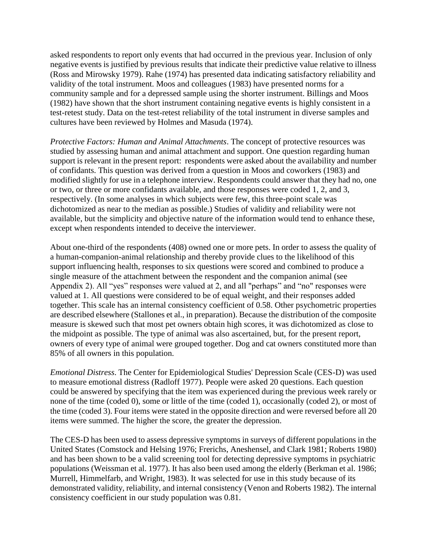asked respondents to report only events that had occurred in the previous year. Inclusion of only negative events is justified by previous results that indicate their predictive value relative to illness (Ross and Mirowsky 1979). Rahe (1974) has presented data indicating satisfactory reliability and validity of the total instrument. Moos and colleagues (1983) have presented norms for a community sample and for a depressed sample using the shorter instrument. Billings and Moos (1982) have shown that the short instrument containing negative events is highly consistent in a test-retest study. Data on the test-retest reliability of the total instrument in diverse samples and cultures have been reviewed by Holmes and Masuda (1974).

*Protective Factors: Human and Animal Attachments*. The concept of protective resources was studied by assessing human and animal attachment and support. One question regarding human support is relevant in the present report: respondents were asked about the availability and number of confidants. This question was derived from a question in Moos and coworkers (1983) and modified slightly for use in a telephone interview. Respondents could answer that they had no, one or two, or three or more confidants available, and those responses were coded 1, 2, and 3, respectively. (In some analyses in which subjects were few, this three-point scale was dichotomized as near to the median as possible.) Studies of validity and reliability were not available, but the simplicity and objective nature of the information would tend to enhance these, except when respondents intended to deceive the interviewer.

About one-third of the respondents (408) owned one or more pets. In order to assess the quality of a human-companion-animal relationship and thereby provide clues to the likelihood of this support influencing health, responses to six questions were scored and combined to produce a single measure of the attachment between the respondent and the companion animal (see Appendix 2). All "yes" responses were valued at 2, and all "perhaps" and "no" responses were valued at 1. All questions were considered to be of equal weight, and their responses added together. This scale has an internal consistency coefficient of 0.58. Other psychometric properties are described elsewhere (Stallones et al., in preparation). Because the distribution of the composite measure is skewed such that most pet owners obtain high scores, it was dichotomized as close to the midpoint as possible. The type of animal was also ascertained, but, for the present report, owners of every type of animal were grouped together. Dog and cat owners constituted more than 85% of all owners in this population.

*Emotional Distress*. The Center for Epidemiological Studies' Depression Scale (CES-D) was used to measure emotional distress (Radloff 1977). People were asked 20 questions. Each question could be answered by specifying that the item was experienced during the previous week rarely or none of the time (coded 0), some or little of the time (coded 1), occasionally (coded 2), or most of the time (coded 3). Four items were stated in the opposite direction and were reversed before all 20 items were summed. The higher the score, the greater the depression.

The CES-D has been used to assess depressive symptoms in surveys of different populations in the United States (Comstock and Helsing 1976; Frerichs, Aneshensel, and Clark 1981; Roberts 1980) and has been shown to be a valid screening tool for detecting depressive symptoms in psychiatric populations (Weissman et al. 1977). It has also been used among the elderly (Berkman et al. 1986; Murrell, Himmelfarb, and Wright, 1983). It was selected for use in this study because of its demonstrated validity, reliability, and internal consistency (Venon and Roberts 1982). The internal consistency coefficient in our study population was 0.81.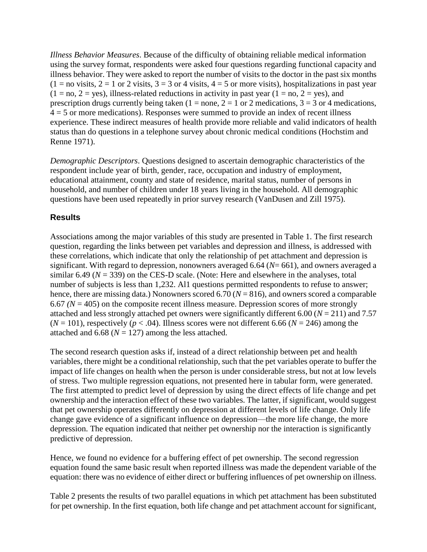*Illness Behavior Measures*. Because of the difficulty of obtaining reliable medical information using the survey format, respondents were asked four questions regarding functional capacity and illness behavior. They were asked to report the number of visits to the doctor in the past six months  $(1 = no \text{ visits}, 2 = 1 \text{ or } 2 \text{ visits}, 3 = 3 \text{ or } 4 \text{ visits}, 4 = 5 \text{ or more visits}),$  hospitalizations in past year  $(1 = no, 2 = yes)$ , illness-related reductions in activity in past year  $(1 = no, 2 = yes)$ , and prescription drugs currently being taken (1 = none, 2 = 1 or 2 medications,  $3 = 3$  or 4 medications,  $4 = 5$  or more medications). Responses were summed to provide an index of recent illness experience. These indirect measures of health provide more reliable and valid indicators of health status than do questions in a telephone survey about chronic medical conditions (Hochstim and Renne 1971).

*Demographic Descriptors*. Questions designed to ascertain demographic characteristics of the respondent include year of birth, gender, race, occupation and industry of employment, educational attainment, county and state of residence, marital status, number of persons in household, and number of children under 18 years living in the household. All demographic questions have been used repeatedly in prior survey research (VanDusen and Zill 1975).

# **Results**

Associations among the major variables of this study are presented in Table 1. The first research question, regarding the links between pet variables and depression and illness, is addressed with these correlations, which indicate that only the relationship of pet attachment and depression is significant. With regard to depression, nonowners averaged 6.64 (*N*= 661), and owners averaged a similar 6.49 ( $N = 339$ ) on the CES-D scale. (Note: Here and elsewhere in the analyses, total number of subjects is less than 1,232. Al1 questions permitted respondents to refuse to answer; hence, there are missing data.) Nonowners scored 6.70 ( $N = 816$ ), and owners scored a comparable 6.67  $(N = 405)$  on the composite recent illness measure. Depression scores of more strongly attached and less strongly attached pet owners were significantly different 6.00 (*N* = 211) and 7.57  $(N = 101)$ , respectively ( $p < .04$ ). Illness scores were not different 6.66 ( $N = 246$ ) among the attached and  $6.68$  ( $N = 127$ ) among the less attached.

The second research question asks if, instead of a direct relationship between pet and health variables, there might be a conditional relationship, such that the pet variables operate to buffer the impact of life changes on health when the person is under considerable stress, but not at low levels of stress. Two multiple regression equations, not presented here in tabular form, were generated. The first attempted to predict level of depression by using the direct effects of life change and pet ownership and the interaction effect of these two variables. The latter, if significant, would suggest that pet ownership operates differently on depression at different levels of life change. Only life change gave evidence of a significant influence on depression—the more life change, the more depression. The equation indicated that neither pet ownership nor the interaction is significantly predictive of depression.

Hence, we found no evidence for a buffering effect of pet ownership. The second regression equation found the same basic result when reported illness was made the dependent variable of the equation: there was no evidence of either direct or buffering influences of pet ownership on illness.

Table 2 presents the results of two parallel equations in which pet attachment has been substituted for pet ownership. In the first equation, both life change and pet attachment account for significant,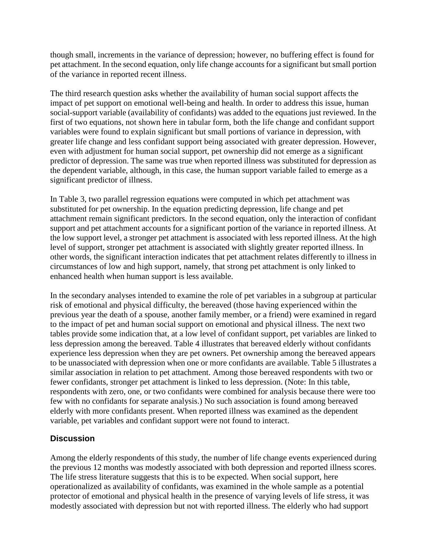though small, increments in the variance of depression; however, no buffering effect is found for pet attachment. In the second equation, only life change accounts for a significant but small portion of the variance in reported recent illness.

The third research question asks whether the availability of human social support affects the impact of pet support on emotional well-being and health. In order to address this issue, human social-support variable (availability of confidants) was added to the equations just reviewed. In the first of two equations, not shown here in tabular form, both the life change and confidant support variables were found to explain significant but small portions of variance in depression, with greater life change and less confidant support being associated with greater depression. However, even with adjustment for human social support, pet ownership did not emerge as a significant predictor of depression. The same was true when reported illness was substituted for depression as the dependent variable, although, in this case, the human support variable failed to emerge as a significant predictor of illness.

In Table 3, two parallel regression equations were computed in which pet attachment was substituted for pet ownership. In the equation predicting depression, life change and pet attachment remain significant predictors. In the second equation, only the interaction of confidant support and pet attachment accounts for a significant portion of the variance in reported illness. At the low support level, a stronger pet attachment is associated with less reported illness. At the high level of support, stronger pet attachment is associated with slightly greater reported illness. In other words, the significant interaction indicates that pet attachment relates differently to illness in circumstances of low and high support, namely, that strong pet attachment is only linked to enhanced health when human support is less available.

In the secondary analyses intended to examine the role of pet variables in a subgroup at particular risk of emotional and physical difficulty, the bereaved (those having experienced within the previous year the death of a spouse, another family member, or a friend) were examined in regard to the impact of pet and human social support on emotional and physical illness. The next two tables provide some indication that, at a low level of confidant support, pet variables are linked to less depression among the bereaved. Table 4 illustrates that bereaved elderly without confidants experience less depression when they are pet owners. Pet ownership among the bereaved appears to be unassociated with depression when one or more confidants are available. Table 5 illustrates a similar association in relation to pet attachment. Among those bereaved respondents with two or fewer confidants, stronger pet attachment is linked to less depression. (Note: In this table, respondents with zero, one, or two confidants were combined for analysis because there were too few with no confidants for separate analysis.) No such association is found among bereaved elderly with more confidants present. When reported illness was examined as the dependent variable, pet variables and confidant support were not found to interact.

# **Discussion**

Among the elderly respondents of this study, the number of life change events experienced during the previous 12 months was modestly associated with both depression and reported illness scores. The life stress literature suggests that this is to be expected. When social support, here operationalized as availability of confidants, was examined in the whole sample as a potential protector of emotional and physical health in the presence of varying levels of life stress, it was modestly associated with depression but not with reported illness. The elderly who had support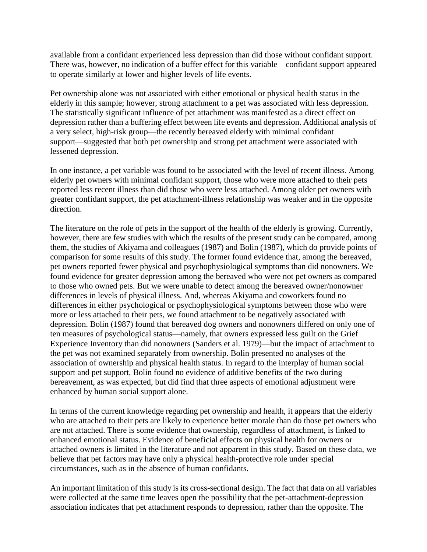available from a confidant experienced less depression than did those without confidant support. There was, however, no indication of a buffer effect for this variable—confidant support appeared to operate similarly at lower and higher levels of life events.

Pet ownership alone was not associated with either emotional or physical health status in the elderly in this sample; however, strong attachment to a pet was associated with less depression. The statistically significant influence of pet attachment was manifested as a direct effect on depression rather than a buffering effect between life events and depression. Additional analysis of a very select, high-risk group—the recently bereaved elderly with minimal confidant support—suggested that both pet ownership and strong pet attachment were associated with lessened depression.

In one instance, a pet variable was found to be associated with the level of recent illness. Among elderly pet owners with minimal confidant support, those who were more attached to their pets reported less recent illness than did those who were less attached. Among older pet owners with greater confidant support, the pet attachment-illness relationship was weaker and in the opposite direction.

The literature on the role of pets in the support of the health of the elderly is growing. Currently, however, there are few studies with which the results of the present study can be compared, among them, the studies of Akiyama and colleagues (1987) and Bolin (1987), which do provide points of comparison for some results of this study. The former found evidence that, among the bereaved, pet owners reported fewer physical and psychophysiological symptoms than did nonowners. We found evidence for greater depression among the bereaved who were not pet owners as compared to those who owned pets. But we were unable to detect among the bereaved owner/nonowner differences in levels of physical illness. And, whereas Akiyama and coworkers found no differences in either psychological or psychophysiological symptoms between those who were more or less attached to their pets, we found attachment to be negatively associated with depression. Bolin (1987) found that bereaved dog owners and nonowners differed on only one of ten measures of psychological status—namely, that owners expressed less guilt on the Grief Experience Inventory than did nonowners (Sanders et al. 1979)—but the impact of attachment to the pet was not examined separately from ownership. Bolin presented no analyses of the association of ownership and physical health status. In regard to the interplay of human social support and pet support, Bolin found no evidence of additive benefits of the two during bereavement, as was expected, but did find that three aspects of emotional adjustment were enhanced by human social support alone.

In terms of the current knowledge regarding pet ownership and health, it appears that the elderly who are attached to their pets are likely to experience better morale than do those pet owners who are not attached. There is some evidence that ownership, regardless of attachment, is linked to enhanced emotional status. Evidence of beneficial effects on physical health for owners or attached owners is limited in the literature and not apparent in this study. Based on these data, we believe that pet factors may have only a physical health-protective role under special circumstances, such as in the absence of human confidants.

An important limitation of this study is its cross-sectional design. The fact that data on all variables were collected at the same time leaves open the possibility that the pet-attachment-depression association indicates that pet attachment responds to depression, rather than the opposite. The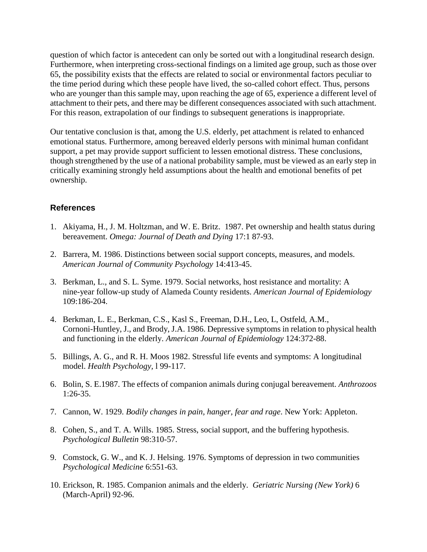question of which factor is antecedent can only be sorted out with a longitudinal research design. Furthermore, when interpreting cross-sectional findings on a limited age group, such as those over 65, the possibility exists that the effects are related to social or environmental factors peculiar to the time period during which these people have lived, the so-called cohort effect. Thus, persons who are younger than this sample may, upon reaching the age of 65, experience a different level of attachment to their pets, and there may be different consequences associated with such attachment. For this reason, extrapolation of our findings to subsequent generations is inappropriate.

Our tentative conclusion is that, among the U.S. elderly, pet attachment is related to enhanced emotional status. Furthermore, among bereaved elderly persons with minimal human confidant support, a pet may provide support sufficient to lessen emotional distress. These conclusions, though strengthened by the use of a national probability sample, must be viewed as an early step in critically examining strongly held assumptions about the health and emotional benefits of pet ownership.

# **References**

- 1. Akiyama, H., J. M. Holtzman, and W. E. Britz. 1987. Pet ownership and health status during bereavement. *Omega: Journal of Death and Dying* 17:1 87-93.
- 2. Barrera, M. 1986. Distinctions between social support concepts, measures, and models. *American Journal of Community Psychology* 14:413-45.
- 3. Berkman, L., and S. L. Syme. 1979. Social networks, host resistance and mortality: A nine-year follow-up study of Alameda County residents. *American Journal of Epidemiology* 109:186-204.
- 4. Berkman, L. E., Berkman, C.S., Kasl S., Freeman, D.H., Leo, L, Ostfeld, A.M., Cornoni-Huntley, J., and Brody, J.A. 1986. Depressive symptoms in relation to physical health and functioning in the elderly. *American Journal of Epidemiology* 124:372-88.
- 5. Billings, A. G., and R. H. Moos 1982. Stressful life events and symptoms: A longitudinal model. *Health Psychology,* l 99-117.
- 6. Bolin, S. E.1987. The effects of companion animals during conjugal bereavement. *Anthrozoos* 1:26-35.
- 7. Cannon, W. 1929. *Bodily changes in pain, hanger, fear and rage*. New York: Appleton.
- 8. Cohen, S., and T. A. Wills. 1985. Stress, social support, and the buffering hypothesis. *Psychological Bulletin* 98:310-57.
- 9. Comstock, G. W., and K. J. Helsing. 1976. Symptoms of depression in two communities *Psychological Medicine* 6:551-63.
- 10. Erickson, R. 1985. Companion animals and the elderly. *Geriatric Nursing (New York)* 6 (March-April) 92-96.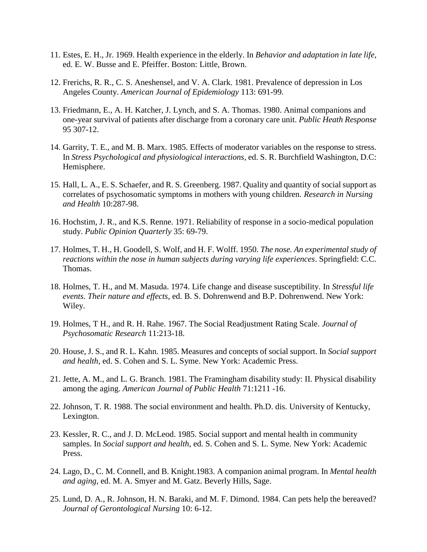- 11. Estes, E. H., Jr. 1969. Health experience in the elderly. In *Behavior and adaptation in late life*, ed. E. W. Busse and E. Pfeiffer. Boston: Little, Brown.
- 12. Frerichs, R. R., C. S. Aneshensel, and V. A. Clark. 1981. Prevalence of depression in Los Angeles County. *American Journal of Epidemiology* 113: 691-99.
- 13. Friedmann, E., A. H. Katcher, J. Lynch, and S. A. Thomas. 1980. Animal companions and one-year survival of patients after discharge from a coronary care unit. *Public Heath Response* 95 307-12.
- 14. Garrity, T. E., and M. B. Marx. 1985. Effects of moderator variables on the response to stress. In *Stress Psychological and physiological interactions*, ed. S. R. Burchfield Washington, D.C: Hemisphere.
- 15. Hall, L. A., E. S. Schaefer, and R. S. Greenberg. 1987. Quality and quantity of social support as correlates of psychosomatic symptoms in mothers with young children. *Research in Nursing and Health* 10:287-98.
- 16. Hochstim, J. R., and K.S. Renne. 1971. Reliability of response in a socio-medical population study. *Public Opinion Quarterly* 35: 69-79.
- 17. Holmes, T. H., H. Goodell, S. Wolf, and H. F. Wolff. 1950. *The nose. An experimental study of reactions within the nose in human subjects during varying life experiences*. Springfield: C.C. Thomas.
- 18. Holmes, T. H., and M. Masuda. 1974. Life change and disease susceptibility. In *Stressful life events. Their nature and effects*, ed. B. S. Dohrenwend and B.P. Dohrenwend. New York: Wiley.
- 19. Holmes, T H., and R. H. Rahe. 1967. The Social Readjustment Rating Scale. *Journal of Psychosomatic Research* 11:213-18.
- 20. House, J. S., and R. L. Kahn. 1985. Measures and concepts of social support. In *Social support and health*, ed. S. Cohen and S. L. Syme. New York: Academic Press.
- 21. Jette, A. M., and L. G. Branch. 1981. The Framingham disability study: II. Physical disability among the aging. *American Journal of Public Health* 71:1211 -16.
- 22. Johnson, T. R. 1988. The social environment and health. Ph.D. dis. University of Kentucky, Lexington.
- 23. Kessler, R. C., and J. D. McLeod. 1985. Social support and mental health in community samples. In *Social support and health*, ed. S. Cohen and S. L. Syme. New York: Academic Press.
- 24. Lago, D., C. M. Connell, and B. Knight.1983. A companion animal program. In *Mental health and aging*, ed. M. A. Smyer and M. Gatz. Beverly Hills, Sage.
- 25. Lund, D. A., R. Johnson, H. N. Baraki, and M. F. Dimond. 1984. Can pets help the bereaved? *Journal of Gerontological Nursing* 10: 6-12.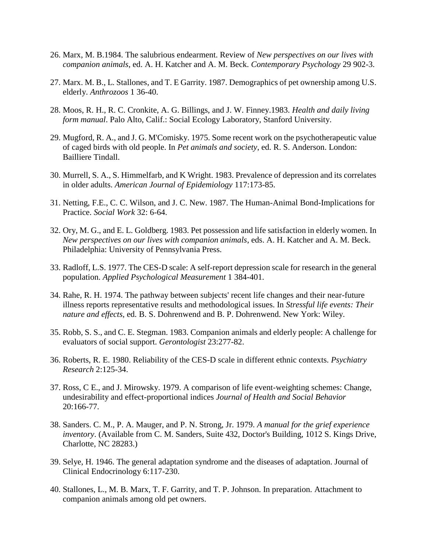- 26. Marx, M. B.1984. The salubrious endearment. Review of *New perspectives on our lives with companion animals*, ed. A. H. Katcher and A. M. Beck. *Contemporary Psychology* 29 902-3.
- 27. Marx. M. B., L. Stallones, and T. E Garrity. 1987. Demographics of pet ownership among U.S. elderly. *Anthrozoos* 1 36-40.
- 28. Moos, R. H., R. C. Cronkite, A. G. Billings, and J. W. Finney.1983. *Health and daily living form manual*. Palo Alto, Calif.: Social Ecology Laboratory, Stanford University.
- 29. Mugford, R. A., and J. G. M'Comisky. 1975. Some recent work on the psychotherapeutic value of caged birds with old people. In *Pet animals and society*, ed. R. S. Anderson. London: Bailliere Tindall.
- 30. Murrell, S. A., S. Himmelfarb, and K Wright. 1983. Prevalence of depression and its correlates in older adults. *American Journal of Epidemiology* 117:173-85.
- 31. Netting, F.E., C. C. Wilson, and J. C. New. 1987. The Human-Animal Bond-Implications for Practice. *Social Work* 32: 6-64.
- 32. Ory, M. G., and E. L. Goldberg. 1983. Pet possession and life satisfaction in elderly women. In *New perspectives on our lives with companion animals*, eds. A. H. Katcher and A. M. Beck. Philadelphia: University of Pennsylvania Press.
- 33. Radloff, L.S. 1977. The CES-D scale: A self-report depression scale for research in the general population. *Applied Psychological Measurement* 1 384-401.
- 34. Rahe, R. H. 1974. The pathway between subjects' recent life changes and their near-future illness reports representative results and methodological issues. In *Stressful life events: Their nature and effects*, ed. B. S. Dohrenwend and B. P. Dohrenwend. New York: Wiley.
- 35. Robb, S. S., and C. E. Stegman. 1983. Companion animals and elderly people: A challenge for evaluators of social support. *Gerontologist* 23:277-82.
- 36. Roberts, R. E. 1980. Reliability of the CES-D scale in different ethnic contexts. *Psychiatry Research* 2:125-34.
- 37. Ross, C E., and J. Mirowsky. 1979. A comparison of life event-weighting schemes: Change, undesirability and effect-proportional indices *Journal of Health and Social Behavior* 20:166-77.
- 38. Sanders. C. M., P. A. Mauger, and P. N. Strong, Jr. 1979. *A manual for the grief experience inventory*. (Available from C. M. Sanders, Suite 432, Doctor's Building, 1012 S. Kings Drive, Charlotte, NC 28283.)
- 39. Selye, H. 1946. The general adaptation syndrome and the diseases of adaptation. Journal of Clinical Endocrinology 6:117-230.
- 40. Stallones, L., M. B. Marx, T. F. Garrity, and T. P. Johnson. In preparation. Attachment to companion animals among old pet owners.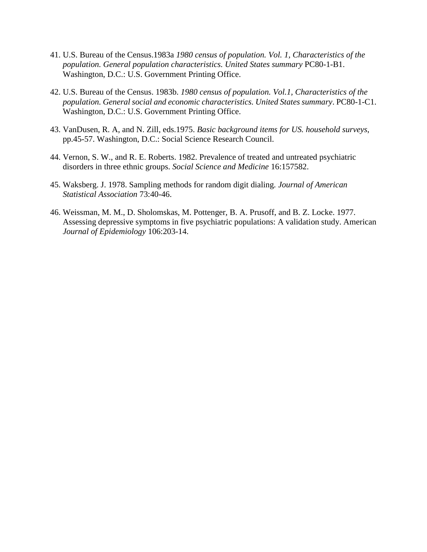- 41. U.S. Bureau of the Census.1983a *1980 census of population. Vol. 1, Characteristics of the population. General population characteristics. United States summary* PC80-1-B1. Washington, D.C.: U.S. Government Printing Office.
- 42. U.S. Bureau of the Census. 1983b. *1980 census of population. Vol.1, Characteristics of the population. General social and economic characteristics. United States summary*. PC80-1-C1. Washington, D.C.: U.S. Government Printing Office.
- 43. VanDusen, R. A, and N. Zill, eds.1975. *Basic background items for US. household surveys*, pp.45-57. Washington, D.C.: Social Science Research Council.
- 44. Vernon, S. W., and R. E. Roberts. 1982. Prevalence of treated and untreated psychiatric disorders in three ethnic groups. *Social Science and Medicine* 16:157582.
- 45. Waksberg. J. 1978. Sampling methods for random digit dialing. *Journal of American Statistical Association* 73:40-46.
- 46. Weissman, M. M., D. Sholomskas, M. Pottenger, B. A. Prusoff, and B. Z. Locke. 1977. Assessing depressive symptoms in five psychiatric populations: A validation study. American *Journal of Epidemiology* 106:203-14.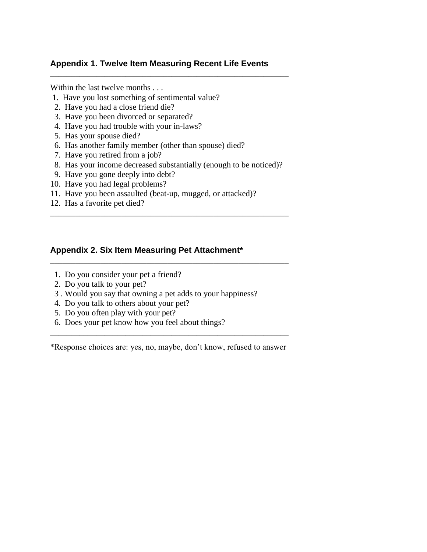# **Appendix 1. Twelve Item Measuring Recent Life Events**

\_\_\_\_\_\_\_\_\_\_\_\_\_\_\_\_\_\_\_\_\_\_\_\_\_\_\_\_\_\_\_\_\_\_\_\_\_\_\_\_\_\_\_\_\_\_\_\_\_\_\_\_\_\_\_\_\_

Within the last twelve months . . .

- 1. Have you lost something of sentimental value?
- 2. Have you had a close friend die?
- 3. Have you been divorced or separated?
- 4. Have you had trouble with your in-laws?
- 5. Has your spouse died?
- 6. Has another family member (other than spouse) died?
- 7. Have you retired from a job?
- 8. Has your income decreased substantially (enough to be noticed)?

\_\_\_\_\_\_\_\_\_\_\_\_\_\_\_\_\_\_\_\_\_\_\_\_\_\_\_\_\_\_\_\_\_\_\_\_\_\_\_\_\_\_\_\_\_\_\_\_\_\_\_\_\_\_\_\_\_

\_\_\_\_\_\_\_\_\_\_\_\_\_\_\_\_\_\_\_\_\_\_\_\_\_\_\_\_\_\_\_\_\_\_\_\_\_\_\_\_\_\_\_\_\_\_\_\_\_\_\_\_\_\_\_\_\_

- 9. Have you gone deeply into debt?
- 10. Have you had legal problems?
- 11. Have you been assaulted (beat-up, mugged, or attacked)?
- 12. Has a favorite pet died?

### **Appendix 2. Six Item Measuring Pet Attachment\***

- 1. Do you consider your pet a friend?
- 2. Do you talk to your pet?
- 3 . Would you say that owning a pet adds to your happiness?
- 4. Do you talk to others about your pet?
- 5. Do you often play with your pet?
- 6. Does your pet know how you feel about things?

\*Response choices are: yes, no, maybe, don't know, refused to answer

\_\_\_\_\_\_\_\_\_\_\_\_\_\_\_\_\_\_\_\_\_\_\_\_\_\_\_\_\_\_\_\_\_\_\_\_\_\_\_\_\_\_\_\_\_\_\_\_\_\_\_\_\_\_\_\_\_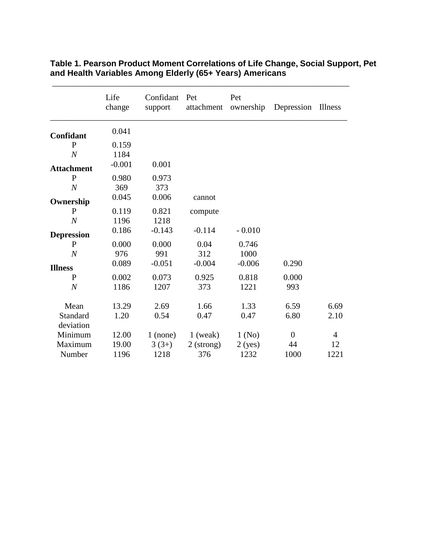|                   | Life<br>change | Confidant<br>support | Pet<br>attachment | Pet<br>ownership | Depression     | <b>Illness</b> |
|-------------------|----------------|----------------------|-------------------|------------------|----------------|----------------|
| <b>Confidant</b>  | 0.041          |                      |                   |                  |                |                |
| $\mathbf{P}$      | 0.159          |                      |                   |                  |                |                |
| $\boldsymbol{N}$  | 1184           |                      |                   |                  |                |                |
| <b>Attachment</b> | $-0.001$       | 0.001                |                   |                  |                |                |
| $\mathbf{P}$      | 0.980          | 0.973                |                   |                  |                |                |
| $\boldsymbol{N}$  | 369            | 373                  |                   |                  |                |                |
| Ownership         | 0.045          | 0.006                | cannot            |                  |                |                |
| $\mathbf{P}$      | 0.119          | 0.821                | compute           |                  |                |                |
| $\overline{N}$    | 1196           | 1218                 |                   |                  |                |                |
| <b>Depression</b> | 0.186          | $-0.143$             | $-0.114$          | $-0.010$         |                |                |
| $\mathbf{P}$      | 0.000          | 0.000                | 0.04              | 0.746            |                |                |
| $\overline{N}$    | 976            | 991                  | 312               | 1000             |                |                |
| <b>Illness</b>    | 0.089          | $-0.051$             | $-0.004$          | $-0.006$         | 0.290          |                |
| $\mathbf{P}$      | 0.002          | 0.073                | 0.925             | 0.818            | 0.000          |                |
| $\boldsymbol{N}$  | 1186           | 1207                 | 373               | 1221             | 993            |                |
| Mean              | 13.29          | 2.69                 | 1.66              | 1.33             | 6.59           | 6.69           |
| Standard          | 1.20           | 0.54                 | 0.47              | 0.47             | 6.80           | 2.10           |
| deviation         |                |                      |                   |                  |                |                |
| Minimum           | 12.00          | $1$ (none)           | $1$ (weak)        | 1 (No)           | $\overline{0}$ | 4              |
| Maximum           | 19.00          | $3(3+)$              | $2$ (strong)      | $2$ (yes)        | 44             | 12             |
| Number            | 1196           | 1218                 | 376               | 1232             | 1000           | 1221           |

### **Table 1. Pearson Product Moment Correlations of Life Change, Social Support, Pet and Health Variables Among Elderly (65+ Years) Americans**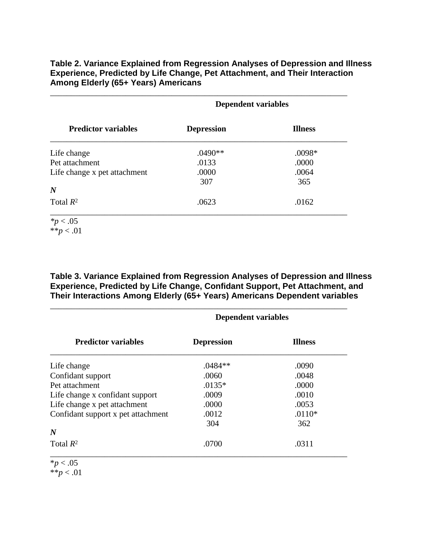### **Table 2. Variance Explained from Regression Analyses of Depression and Illness Experience, Predicted by Life Change, Pet Attachment, and Their Interaction Among Elderly (65+ Years) Americans**

|                              | <b>Dependent variables</b> |                |  |  |
|------------------------------|----------------------------|----------------|--|--|
| <b>Predictor variables</b>   | <b>Depression</b>          | <b>Illness</b> |  |  |
| Life change                  | $.0490**$                  | .0098*         |  |  |
| Pet attachment               | .0133                      | .0000          |  |  |
| Life change x pet attachment | .0000                      | .0064          |  |  |
|                              | 307                        | 365            |  |  |
| $\boldsymbol{N}$             |                            |                |  |  |
| Total $R^2$                  | .0623                      | .0162          |  |  |
| $\mathcal{L}$ $\Omega$       |                            |                |  |  |

\_\_\_\_\_\_\_\_\_\_\_\_\_\_\_\_\_\_\_\_\_\_\_\_\_\_\_\_\_\_\_\_\_\_\_\_\_\_\_\_\_\_\_\_\_\_\_\_\_\_\_\_\_\_\_\_\_\_\_\_\_\_\_\_\_\_\_\_\_\_\_

*\*p* < .05 \*\**p* < .01

### **Table 3. Variance Explained from Regression Analyses of Depression and Illness Experience, Predicted by Life Change, Confidant Support, Pet Attachment, and Their Interactions Among Elderly (65+ Years) Americans Dependent variables**

|                                    | <b>Dependent variables</b> |                |  |  |
|------------------------------------|----------------------------|----------------|--|--|
| <b>Predictor variables</b>         | <b>Depression</b>          | <b>Illness</b> |  |  |
| Life change                        | $.0484**$                  | .0090          |  |  |
| Confidant support                  | .0060                      | .0048          |  |  |
| Pet attachment                     | $.0135*$                   | .0000          |  |  |
| Life change x confidant support    | .0009                      | .0010          |  |  |
| Life change x pet attachment       | .0000                      | .0053          |  |  |
| Confidant support x pet attachment | .0012                      | $.0110*$       |  |  |
|                                    | 304                        | 362            |  |  |
| $\boldsymbol{N}$                   |                            |                |  |  |
| Total $R^2$                        | .0700                      | .0311          |  |  |

\_\_\_\_\_\_\_\_\_\_\_\_\_\_\_\_\_\_\_\_\_\_\_\_\_\_\_\_\_\_\_\_\_\_\_\_\_\_\_\_\_\_\_\_\_\_\_\_\_\_\_\_\_\_\_\_\_\_\_\_\_\_\_\_\_\_\_\_\_\_\_

 $*p < .05$ 

\*\* $p < .01$